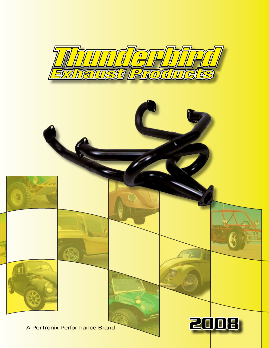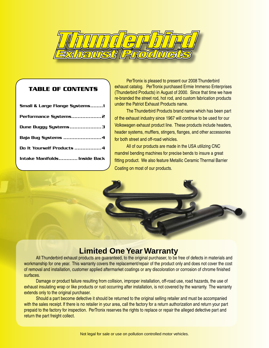

## **TABLE OF CONTENTS**

| <b>Small &amp; Large Flange Systems1</b> |  |
|------------------------------------------|--|
|                                          |  |
| Dune Buggy Systems3                      |  |
| Baja Bug Systems 4                       |  |
| Do It Yourself Products 4                |  |
| Intake Manifolds Inside Back             |  |
|                                          |  |

PerTronix is pleased to present our 2008 Thunderbird exhaust catalog. PerTronix purchased Ermie Immerso Enterprises (Thunderbird Products) in August of 2000. Since that time we have re-branded the street rod, hot rod, and custom fabrication products under the Patriot Exhaust Products name.

The Thunderbird Products brand name which has been part of the exhaust industry since 1967 will continue to be used for our Volkswagen exhaust product line. These products include headers, header systems, mufflers, stingers, flanges, and other accessories for both street and off-road vehicles.

All of our products are made in the USA utilizing CNC mandrel bending machines for precise bends to insure a great fitting product. We also feature Metallic Ceramic Thermal Barrier Coating on most of our products.



# **Limited One Year Warranty**

All Thunderbird exhaust products are guaranteed, to the original purchaser, to be free of defects in materials and workmanship for one year. This warranty covers the replacement/repair of the product only and does not cover the cost of removal and installation, customer applied aftermarket coatings or any discoloration or corrosion of chrome finished surfaces.

Damage or product failure resulting from collision, improper installation, off-road use, road hazards, the use of exhaust insulating wrap or like products or rust occurring after installation, is not covered by the warranty. The warranty extends only to the original purchaser.

Should a part become defective it should be returned to the original selling retailer and must be accompanied with the sales receipt. If there is no retailer in your area, call the factory for a return authorization and return your part prepaid to the factory for inspection. PerTronix reserves the rights to replace or repair the alleged defective part and return the part freight collect.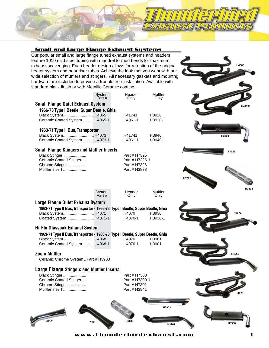## **Small and Large Flange Exhaust Systems**

Our popular small and large flange tuned exhaust systems and headers feature 1010 mild steel tubing with mandrel formed bends for maximum exhaust scavenging. Each header design allows for retention of the original heater system and heat riser tubes. Achieve the look that you want with our wide selection of mufflers and stingers. All necessary gaskets and mountng hardware are included to provide a trouble free installation. Available with standard black finish or with Metallic Ceramic coating.

|                                           | System<br>Part # | Header<br>Only | Muffler<br>Only |
|-------------------------------------------|------------------|----------------|-----------------|
| Small Flange Quiet Exhaust System         |                  |                |                 |
| 1966-73 Type I Beetle, Super Beetle, Ghia |                  |                |                 |
| Black System H4065                        |                  | H41741         | H3920           |
| Ceramic Coated System  H4065-1            |                  | H4061-1        | H3920-1         |
| 1963-71 Type II Bus, Transporter          |                  |                |                 |

| Black SystemH4073              | H41741  | H3940   |
|--------------------------------|---------|---------|
| Ceramic Coated System  H4073-1 | H4061-1 | H3940-1 |

## **Small Flange Stingers and Muffler Inserts**

| Black Stinger          |  |
|------------------------|--|
| Ceramic Coated Stinger |  |
| Chrome Stinger         |  |
| Muffler insert         |  |

| System<br>Part # | Header<br>Only |
|------------------|----------------|

|  | Large Flange Quiet Exhaust System |  |
|--|-----------------------------------|--|

| 1963-71 Type II Bus, Transporter - 1966-73 Type I Beetle, Super Beetle, Ghia |         |         |
|------------------------------------------------------------------------------|---------|---------|
| Black System H4071                                                           | H4070   | H3930   |
| Coated System H4071-1                                                        | H4070-1 | H3930-1 |

## **Hi-Flo Glasspak Exhaust System**

| 1963-71 Type II Bus, Transporter - 1966-73 Type I Beetle, Super Beetle, Ghia |         |       |
|------------------------------------------------------------------------------|---------|-------|
| Black System H4068                                                           | H4070   | H3901 |
| Ceramic Coated System  H4068-1                                               | H4070-1 | H3901 |

## **Zoom Muffler**

Ceramic Chrome System ..Part # H3903

## **Large Flange Stingers and Muffler Inserts**

Black Stinger ..................... Part # H7300 Ceramic Coated Stinger.... Part # H7300-1 Chrome Stinger .................. Muffler insert ..................... Part # H3841

Muffler Only

**H3903**

Part # H7325 Part # H7325-1 Part # H7326 Part # H3838









**w w w . t h u n d e r b i r d e x h a u s t . c o m** 1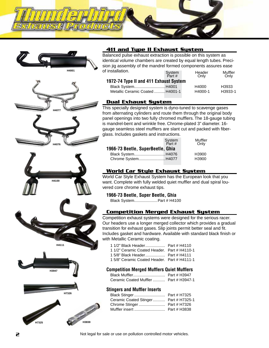

















## **411 and Type II Exhaust System**

Balanced pulse exhaust extraction is possible on this system as identical volume chambers are created by equal length tubes. Precision jig assembly of the mandrel formed components assures ease of installation. **System** Header Muffler

| Part #                                 | Only    | Only    |  |  |
|----------------------------------------|---------|---------|--|--|
| 1972-74 Type II and 411 Exhaust System |         |         |  |  |
| Black System H4001                     | H4000   | H3933   |  |  |
| Metallic Ceramic Coated  H4001-1       | H4000-1 | H3933-1 |  |  |
|                                        |         |         |  |  |

## **Dual Exhaust System**

This specially designed system is dyno-tuned to scavenge gases from alternating cylinders and route them through the original body panel openings into two fully chromed mufflers. The 18-gauge tubing is mandrel-bent and wrinkle free. Chrome-plated 3" diameter. 16 gauge seamless steel mufflers are slant cut and packed with fiberglass. Includes gaskets and instructions.

|                                   | System<br>Part # | Muffler<br>Only |
|-----------------------------------|------------------|-----------------|
| 1966-73 Beetle, SuperBeetle, Ghia |                  |                 |
| Black System H4076                |                  | H3900           |
| Chrome System H4077               |                  | H3900           |

## **World Car Style Exhaust System**

World Car Style Exhaust System has the European look that you want. Complete with fully welded quiet muffler and dual spiral louvered core chrome exhaust tips.

## **1966-73 Beetle, Super Beetle, Ghia**

Black System.....................Part # H4100

## **Competition Merged Exhaust System**

Competition exhaust systems were designed for the serious racer. Our headers use a longer merged collector which provides a gradual transition for exhaust gases. Slip joints permit better seal and fit. Includes gasket and hardware. Available with standard black finish or with Metallic Ceramic coating.

| 1 1/2" Ceramic Coated Header. Part # H4110-1 |  |
|----------------------------------------------|--|
| 1 5/8" Black Header Part # H4111             |  |

1 5/8" Ceramic Coated Header. Part # H4111-1

## **Competition Merged Mufflers Quiet Mufflers**

| Black Muffler                          | Part # H3947 |
|----------------------------------------|--------------|
| Ceramic Coated Muffler  Part # H3947-1 |              |

#### **Stingers and Muffler Inserts**

| Ceramic Coated Stinger Part # H7325-1 |  |
|---------------------------------------|--|
|                                       |  |
|                                       |  |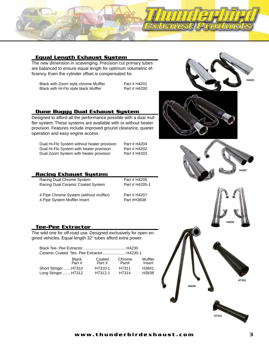

#### **Equal Length Exhaust System**

The new dimension in scavenging. Precision cut primary tubes are balanced to ensure equal length for optimum volumetric efficiency. Even the cylinder offset is compensated for.

Black with Zoom style chrome Muffler Part # H4201<br>Black with Hi-Flo style black Muffler Part # H4200 Black with Hi-Flo style black Muffler



#### **Dune Buggy Dual Exhaust System**

Designed to afford all the performance possible with a dual muffler system. These systems are available with or without heater provision. Features include improved ground clearance, quieter operation and easy engine access.

| Dual Hi-Flo System without heater provision |
|---------------------------------------------|
| Dual Hi-Flo System with heater provision    |
| Dual Zoom System with heater provision      |

Part # H4204 Part # H4202 Part # H4203

| <b>Racing Exhaust System</b>           |                |
|----------------------------------------|----------------|
| Racing Dual Chrome System              | Part # H4205   |
| Racing Dual Ceramic Coated System      | Part # H4205-1 |
| 4 Pipe Chrome System (without muffler) | Part # H4207   |

4 Pipe System Muffler Insert **Part #H3838** 

 $t \# H4207$ 

#### **Tee-Pee Extractor**

The wild one for off-road use. Designed exclusively for open engined vehicles. Equal length 32" tubes afford extra power.

| Ceramic Coated Tee-Pee Extractor H4230-1 |  |
|------------------------------------------|--|

|                     | <b>Black</b> | Coated  | Chrome | Muffler |
|---------------------|--------------|---------|--------|---------|
|                     | Part $#$     | Part#   | Part#  | Insert  |
| Short Stinger H7310 |              | H7310-1 | H7311  | H3841   |
| Long StingerH7312   |              | H7312-1 | H7314  | H3838   |
|                     |              |         |        |         |



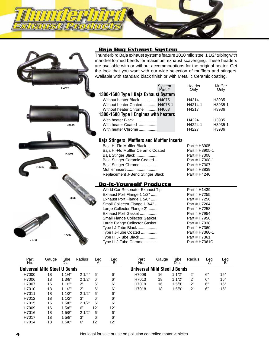## **Baja Bug Exhaust System**

Thunderbird Baja exhaust systems feature 1010 mild steel 1 1/2" tubing with mandrel formed bends for maximum exhaust scavenging. These headers are available with or without accommodations for the original heater. Get the look that you want with our wide selection of mufflers and stingers. Available with standard black finish or with Metallic Ceramic coating.

|                                       | System<br>Part # | Header<br>Only | Muffler<br>Only |  |  |  |
|---------------------------------------|------------------|----------------|-----------------|--|--|--|
| 1300-1600 Type I Baja Exhaust System  |                  |                |                 |  |  |  |
| Without heater Black  H4075           |                  | H4214          | H3935           |  |  |  |
| Without heater Coated  H4075-1        |                  | H4214-1        | H3935-1         |  |  |  |
| Without heater Chrome  H4063          |                  | H4217          | H3936           |  |  |  |
| 1300-1600 Type I Engines with heaters |                  |                |                 |  |  |  |
| With heater Black                     |                  | H4224          | H3935           |  |  |  |
| With heater Coated                    |                  | H4224-1        | H3935-1         |  |  |  |
| With heater Chrome                    |                  | H4227          | H3936           |  |  |  |

#### **Baja Stingers, Mufflers and Muffler Inserts**

| Baja Hi-Flo Muffler Black          | Part # H3905   |
|------------------------------------|----------------|
| Baja Hi-Flo Muffler Ceramic Coated | Part # H3905-1 |
| Baja Stinger Black                 | Part # H7308   |
| Baja Stinger Ceramic Coated        | Part # H7308-1 |
| Baja Stinger Chrome                | Part # H7307   |
| Muffler insert                     | Part # H3839   |
| Replacement J-Bend Stinger Black   | Part # H4240   |

#### **Do-It-Yourself Products**

|       |                                | World Car Resonator Exhaust Tip | Part # H1439  |
|-------|--------------------------------|---------------------------------|---------------|
|       |                                | Exhaust Port Flange 1 1/2"      | Part # H7255  |
|       | H3839                          | Exhaust Port Flange 1 5/8"      | Part # H7256  |
|       |                                | Small Collector Flange 1 3/4"   | Part # H7264  |
|       |                                | Large Collector Flange 2"       | Part # H7258  |
|       |                                | Exhaust Port Gasket             | Part # H7954  |
|       | Small Flange Collector Gasket. | Part # H7956                    |               |
|       | Large Flange Collector Gasket. | Part # H7938                    |               |
|       | Type I J-Tube Black            | Part # H7360                    |               |
|       | Type I J-Tube Coated           | Part # H7360-1                  |               |
| H7307 |                                | Type III J-Tube Black           | Part # H7361  |
| H1439 |                                | Type III J-Tube Chrome          | Part # H7361C |

| Part<br>No. | Gauge                               | Tube<br>Dia. | Radius | Leg<br>А | Leg<br>B |
|-------------|-------------------------------------|--------------|--------|----------|----------|
|             | <b>Universal Mild Steel U Bends</b> |              |        |          |          |
| H7000       | 18                                  | 11/4"        | 21/4"  | 6"       | 6"       |
| H7006       | 18                                  | 13/8"        | 21/2"  | 6"       | 6"       |
| H7007       | 16                                  | 11/2"        | 2"     | 6"       | 6"       |
| H7010       | 18                                  | 11/2"        | ን"     | 6"       | 6"       |
| H7011       | 18                                  | 11/2"        | 21/2"  | 6"       | 6"       |
| H7012       | 18                                  | 11/2"        | 3"     | 6"       | 6"       |
| H7015       | 16                                  | 15/8"        | 21/2"  | 6"       | 6"       |
| H7009       | 16                                  | 1.5/8"       | 6"     | 12"      | 12"      |
| H7016       | 18                                  | 15/8"        | 21/2"  | 6"       | 6"       |
| H7017       | 18                                  | 1.5/8"       | 3"     | 6"       | 6"       |
| H7014       | 18                                  | 1.5/8"       | 6"     | 12"      | 12"      |

**H3905**

**H4240**

**H3935**

**H4075**

| Gauge | Tube<br>Dia. | Radius | eq                                  | eg  |  |
|-------|--------------|--------|-------------------------------------|-----|--|
|       |              |        |                                     |     |  |
| 16    | 11/2"        | ን"     | 6"                                  | 15" |  |
| 18    | 11/2"        | ን"     | 6"                                  | 15" |  |
| 16    | 1.5/8"       | ን"     | 6"                                  | 15" |  |
| 18    | 1.5/8"       | ን"     | 6"                                  | 15" |  |
|       |              |        | <b>Universal Mild Steel J Bends</b> |     |  |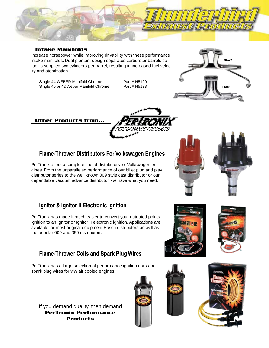

## **Intake Manifolds**

Increase horsepower while improving drivability with these performance intake manifolds. Dual plentum design separates carburetor barrels so fuel is supplied two cylinders per barrel, resulting in increased fuel velocity and atomization.

Single 44 WEBER Manifold Chrome Part # H5190<br>Single 40 or 42 Weber Manifold Chrome Part # H5138 Single 40 or 42 Weber Manifold Chrome

*RMANCE PRODUCTS* 



## **Other Products from...**

## **Flame-Thrower Distributors For Volkswagen Engines**

PerTronix offers a complete line of distributors for Volkswagen engines. From the unparalleled performance of our billet plug and play distributor series to the well known 009 style cast distributor or our dependable vacuum advance distributor, we have what you need.

## **Ignitor & Ignitor II Electronic Ignition**

PerTronix has made it much easier to convert your outdated points ignition to an Ignitor or Ignitor II electronic ignition. Applications are available for most original equipment Bosch distributors as well as the popular 009 and 050 distributors.

## **Flame-Thrower Coils and Spark Plug Wires**

PerTronix has a large selection of performance ignition coils and spark plug wires for VW air cooled engines.

If you demand quality, then demand **PerTronix Performance Products**